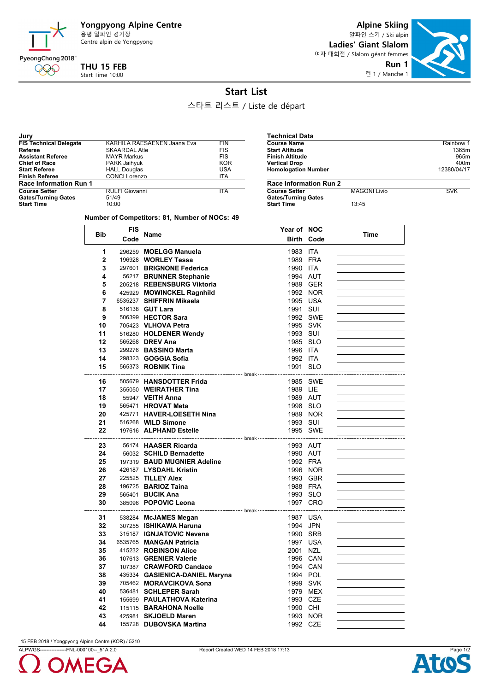**Yongpyong Alpine Centre** 용평 알파인 경기장

Centre alpin de Yongpyong

PyeongChang 2018 **THU 15 FEB**

000

Start Time 10:00

**Alpine Skiing** 알파인 스키 / Ski alpin **Ladies' Giant Slalom** 여자 대회전 / Slalom géant femmes **Run 1** 런 1 / Manche 1



## **Start List**

스타트 리스트 / Liste de départ

**Gates/Turning Gates**

**Start Time** 13:45

| KARHILA RAESAENEN Jaana Eva | <b>FIN</b> |
|-----------------------------|------------|
| <b>SKAARDAL Atle</b>        | <b>FIS</b> |
| <b>MAYR Markus</b>          | <b>FIS</b> |
| PARK Jaihyuk                | <b>KOR</b> |
| <b>HALL Douglas</b>         | USA        |
| <b>CONCI Lorenzo</b>        | <b>ITA</b> |
|                             |            |
| <b>RULFI Giovanni</b>       | <b>ITA</b> |
| 51/49                       |            |
| 10:00                       |            |
|                             |            |

| <b>Technical Data</b>         |                     |             |
|-------------------------------|---------------------|-------------|
| <b>Course Name</b>            |                     | Rainbow 1   |
| <b>Start Altitude</b>         |                     | 1365m       |
| <b>Finish Altitude</b>        |                     | 965m        |
| <b>Vertical Drop</b>          |                     | 400m        |
| <b>Homologation Number</b>    |                     | 12380/04/17 |
| <b>Race Information Run 2</b> |                     |             |
| <b>Course Setter</b>          | <b>MAGONI Livio</b> | SVK         |

**Number of Competitors: 81, Number of NOCs: 49**

| <b>FIS</b>         |      |                                | Year of NOC         |          |  |
|--------------------|------|--------------------------------|---------------------|----------|--|
| <b>Bib</b><br>Code | Name |                                | <b>Birth Code</b>   | Time     |  |
| 1                  |      | 296259 MOELGG Manuela          | 1983 ITA            |          |  |
| $\overline{2}$     |      | 196928 WORLEY Tessa            | 1989 FRA            |          |  |
| 3                  |      | 297601 BRIGNONE Federica       | 1990 ITA            |          |  |
| 4                  |      | 56217 BRUNNER Stephanie        | 1994 AUT            |          |  |
| 5                  |      | 205218 REBENSBURG Viktoria     |                     | 1989 GER |  |
| 6                  |      | 425929 MOWINCKEL Ragnhild      |                     | 1992 NOR |  |
| 7                  |      | 6535237 SHIFFRIN Mikaela       | 1995 USA            |          |  |
| 8                  |      | 516138 GUT Lara                | 1991 SUI            |          |  |
| 9                  |      | 506399 HECTOR Sara             |                     | 1992 SWE |  |
| 10                 |      | 705423 VLHOVA Petra            | 1995 SVK            |          |  |
| 11                 |      | 516280 HOLDENER Wendy          | 1993 SUI            |          |  |
| 12                 |      | 565268 DREV Ana                | 1985 SLO            |          |  |
| 13                 |      | 299276 BASSINO Marta           | 1996 ITA            |          |  |
| 14                 |      | 298323 <b>GOGGIA Sofia</b>     | 1992 ITA            |          |  |
| 15                 |      | 565373 <b>ROBNIK Tina</b>      | 1991 SLO            |          |  |
|                    |      |                                |                     |          |  |
| 16                 |      | 505679 HANSDOTTER Frida        |                     | 1985 SWE |  |
| 17                 |      | 355050 WEIRATHER Tina          | 1989 LIE            |          |  |
| 18                 |      | 55947 <b>VEITH Anna</b>        | 1989 AUT            |          |  |
| 19                 |      | 565471 <b>HROVAT Meta</b>      | 1998 SLO            |          |  |
| 20                 |      | 425771 HAVER-LOESETH Nina      |                     | 1989 NOR |  |
| 21                 |      | 516268 WILD Simone             | 1993 SUI            |          |  |
| 22                 |      | 197616 ALPHAND Estelle         |                     | 1995 SWE |  |
|                    |      |                                |                     |          |  |
| 23                 |      | 56174 HAASER Ricarda           | 1993 AUT            |          |  |
| 24                 |      | 56032 SCHILD Bernadette        | 1990 AUT            |          |  |
| 25                 |      | 197319 BAUD MUGNIER Adeline    | 1992 FRA            |          |  |
| 26<br>27           |      | 426187 LYSDAHL Kristin         |                     | 1996 NOR |  |
|                    |      | 225525 TILLEY Alex             |                     | 1993 GBR |  |
| 28                 |      | 196725 <b>BARIOZ Taina</b>     | 1988 FRA            |          |  |
| 29                 |      | 565401 <b>BUCIK Ana</b>        | 1993 SLO            |          |  |
| 30                 |      | 385096 POPOVIC Leona           | ------------------- | 1997 CRO |  |
| 31                 |      | 538284 McJAMES Megan           | 1987 USA            |          |  |
| 32                 |      | 307255 ISHIKAWA Haruna         | 1994 JPN            |          |  |
| 33                 |      | 315187 IGNJATOVIC Nevena       | 1990 SRB            |          |  |
| 34                 |      | 6535765 MANGAN Patricia        | 1997 USA            |          |  |
| 35                 |      | 415232 ROBINSON Alice          | 2001 NZL            |          |  |
| 36                 |      | 107613 GRENIER Valerie         | 1996 CAN            |          |  |
| 37                 |      | 107387 CRAWFORD Candace        | 1994 CAN            |          |  |
| 38                 |      | 435334 GASIENICA-DANIEL Maryna | 1994 POL            |          |  |
| 39                 |      | 705462 MORAVCIKOVA Sona        | 1999 SVK            |          |  |
| 40                 |      | 536481 SCHLEPER Sarah          |                     | 1979 MEX |  |
| 41                 |      | 155699 PAULATHOVA Katerina     | 1993 CZE            |          |  |
| 42                 |      | 115115 BARAHONA Noelle         | 1990 CHI            |          |  |
| 43                 |      | 425981 SKJOELD Maren           |                     | 1993 NOR |  |
| 44                 |      | 155728 DUBOVSKA Martina        | 1992 CZE            |          |  |

15 FEB 2018 / Yongpyong Alpine Centre (KOR) / 5210